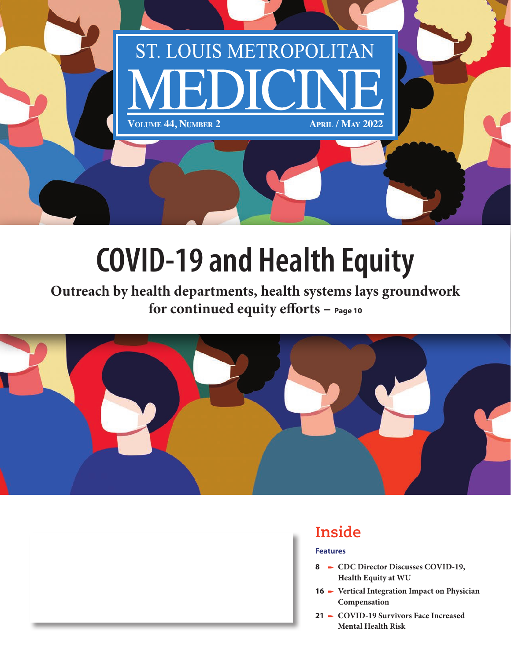

# **COVID-19 and Health Equity**

**Outreach by health departments, health systems lays groundwork for continued equity efforts – Page 10**





## **Inside**

### **Features**

- 8 **-** CDC Director Discusses COVID-19, **Health Equity at WU**
- 16 **-** Vertical Integration Impact on Physician **Compensation**
- **21** p **COVID-19 Survivors Face Increased Mental Health Risk**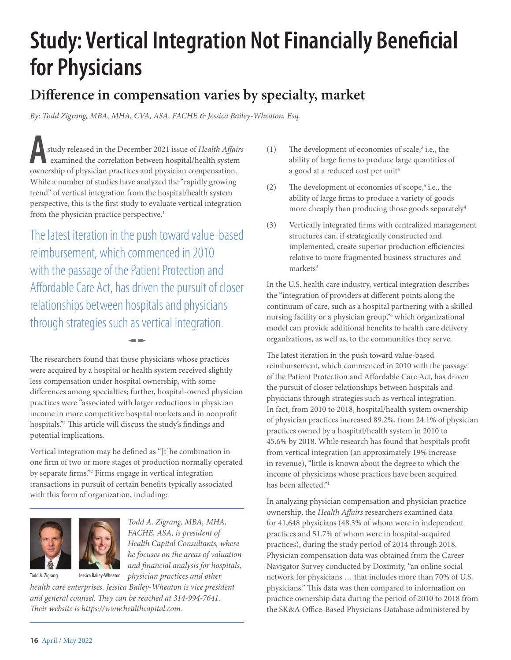## **Study: Vertical Integration Not Financially Beneficial for Physicians**

### **Difference in compensation varies by specialty, market**

*By: Todd Zigrang, MBA, MHA, CVA, ASA, FACHE & Jessica Bailey-Wheaton, Esq.*

A<br>
study released in the December 2021 issue of *Health Affain*<br>
ownership of physician practices and physician compensation. study released in the December 2021 issue of *Health Affairs* examined the correlation between hospital/health system While a number of studies have analyzed the "rapidly growing trend" of vertical integration from the hospital/health system perspective, this is the first study to evaluate vertical integration from the physician practice perspective.<sup>1</sup>

The latest iteration in the push toward value-based reimbursement, which commenced in 2010 with the passage of the Patient Protection and Affordable Care Act, has driven the pursuit of closer relationships between hospitals and physicians through strategies such as vertical integration.

The researchers found that those physicians whose practices were acquired by a hospital or health system received slightly less compensation under hospital ownership, with some differences among specialties; further, hospital-owned physician practices were "associated with larger reductions in physician income in more competitive hospital markets and in nonprofit hospitals."1 This article will discuss the study's findings and potential implications.

 $\blacksquare$ 

Vertical integration may be defined as "[t]he combination in one firm of two or more stages of production normally operated by separate firms."2 Firms engage in vertical integration transactions in pursuit of certain benefits typically associated with this form of organization, including:





Todd A. Zigrang Jessica Bailey-Wheaton

*Health Capital Consultants, where he focuses on the areas of valuation and financial analysis for hospitals,* 

*health care enterprises. Jessica Bailey-Wheaton is vice president and general counsel. They can be reached at 314-994-7641. Their website is https://www.healthcapital.com.*

- $(1)$  The development of economies of scale,<sup>3</sup> i.e., the ability of large firms to produce large quantities of a good at a reduced cost per unit<sup>4</sup>
- (2) The development of economies of scope,<sup>5</sup> i.e., the ability of large firms to produce a variety of goods more cheaply than producing those goods separately<sup>4</sup>
- (3) Vertically integrated firms with centralized management structures can, if strategically constructed and implemented, create superior production efficiencies relative to more fragmented business structures and markets<sup>3</sup>

In the U.S. health care industry, vertical integration describes the "integration of providers at different points along the continuum of care, such as a hospital partnering with a skilled nursing facility or a physician group,"6 which organizational model can provide additional benefits to health care delivery organizations, as well as, to the communities they serve.

The latest iteration in the push toward value-based reimbursement, which commenced in 2010 with the passage of the Patient Protection and Affordable Care Act, has driven the pursuit of closer relationships between hospitals and physicians through strategies such as vertical integration. In fact, from 2010 to 2018, hospital/health system ownership of physician practices increased 89.2%, from 24.1% of physician practices owned by a hospital/health system in 2010 to 45.6% by 2018. While research has found that hospitals profit from vertical integration (an approximately 19% increase in revenue), "little is known about the degree to which the income of physicians whose practices have been acquired has been affected."1

In analyzing physician compensation and physician practice ownership, the *Health Affairs* researchers examined data for 41,648 physicians (48.3% of whom were in independent practices and 51.7% of whom were in hospital-acquired practices), during the study period of 2014 through 2018. Physician compensation data was obtained from the Career Navigator Survey conducted by Doximity, "an online social network for physicians … that includes more than 70% of U.S. physicians." This data was then compared to information on practice ownership data during the period of 2010 to 2018 from the SK&A Office-Based Physicians Database administered by